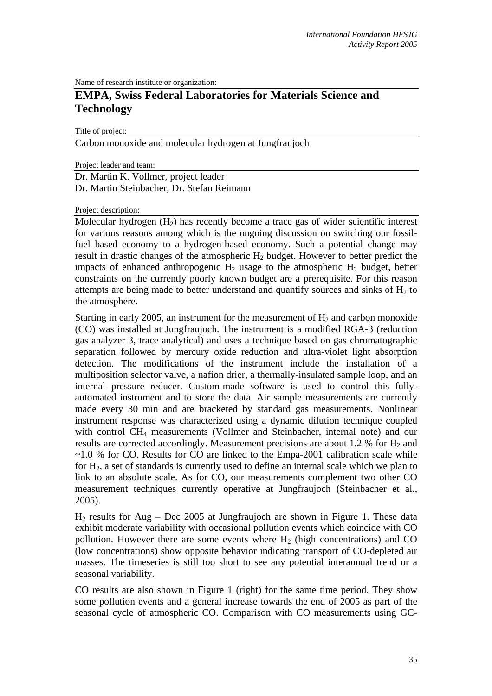Name of research institute or organization:

## **EMPA, Swiss Federal Laboratories for Materials Science and Technology**

Title of project:

Carbon monoxide and molecular hydrogen at Jungfraujoch

Project leader and team:

Dr. Martin K. Vollmer, project leader Dr. Martin Steinbacher, Dr. Stefan Reimann

Project description:

Molecular hydrogen  $(H<sub>2</sub>)$  has recently become a trace gas of wider scientific interest for various reasons among which is the ongoing discussion on switching our fossilfuel based economy to a hydrogen-based economy. Such a potential change may result in drastic changes of the atmospheric  $H_2$  budget. However to better predict the impacts of enhanced anthropogenic  $H_2$  usage to the atmospheric  $H_2$  budget, better constraints on the currently poorly known budget are a prerequisite. For this reason attempts are being made to better understand and quantify sources and sinks of  $H_2$  to the atmosphere.

Starting in early 2005, an instrument for the measurement of  $H_2$  and carbon monoxide (CO) was installed at Jungfraujoch. The instrument is a modified RGA-3 (reduction gas analyzer 3, trace analytical) and uses a technique based on gas chromatographic separation followed by mercury oxide reduction and ultra-violet light absorption detection. The modifications of the instrument include the installation of a multiposition selector valve, a nafion drier, a thermally-insulated sample loop, and an internal pressure reducer. Custom-made software is used to control this fullyautomated instrument and to store the data. Air sample measurements are currently made every 30 min and are bracketed by standard gas measurements. Nonlinear instrument response was characterized using a dynamic dilution technique coupled with control CH<sub>4</sub> measurements (Vollmer and Steinbacher, internal note) and our results are corrected accordingly. Measurement precisions are about 1.2 % for  $H_2$  and  $\sim$ 1.0 % for CO. Results for CO are linked to the Empa-2001 calibration scale while for  $H_2$ , a set of standards is currently used to define an internal scale which we plan to link to an absolute scale. As for CO, our measurements complement two other CO measurement techniques currently operative at Jungfraujoch (Steinbacher et al., 2005).

 $H_2$  results for Aug – Dec 2005 at Jungfraujoch are shown in Figure 1. These data exhibit moderate variability with occasional pollution events which coincide with CO pollution. However there are some events where  $H_2$  (high concentrations) and CO (low concentrations) show opposite behavior indicating transport of CO-depleted air masses. The timeseries is still too short to see any potential interannual trend or a seasonal variability.

CO results are also shown in Figure 1 (right) for the same time period. They show some pollution events and a general increase towards the end of 2005 as part of the seasonal cycle of atmospheric CO. Comparison with CO measurements using GC-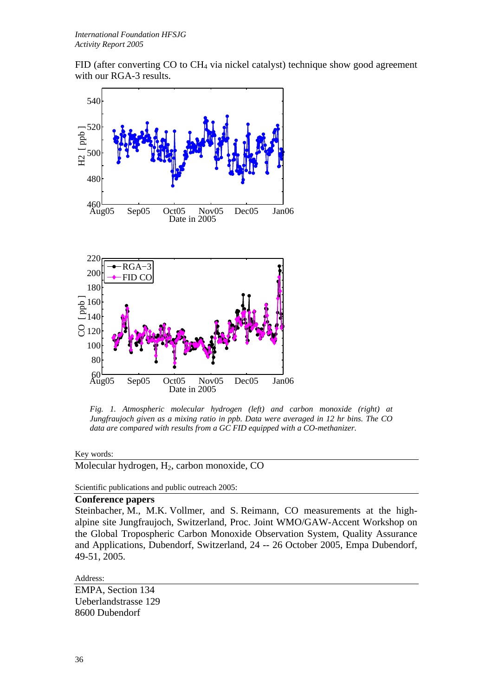FID (after converting CO to CH4 via nickel catalyst) technique show good agreement with our RGA-3 results.



*Fig. 1. Atmospheric molecular hydrogen (left) and carbon monoxide (right) at Jungfraujoch given as a mixing ratio in ppb. Data were averaged in 12 hr bins. The CO data are compared with results from a GC FID equipped with a CO-methanizer.* 

Key words:

Molecular hydrogen, H2, carbon monoxide, CO

Scientific publications and public outreach 2005:

## **Conference papers**

Steinbacher, M., M.K. Vollmer, and S. Reimann, CO measurements at the highalpine site Jungfraujoch, Switzerland, Proc. Joint WMO/GAW-Accent Workshop on the Global Tropospheric Carbon Monoxide Observation System, Quality Assurance and Applications, Dubendorf, Switzerland, 24 -- 26 October 2005, Empa Dubendorf, 49-51, 2005.

Address:

EMPA, Section 134 Ueberlandstrasse 129 8600 Dubendorf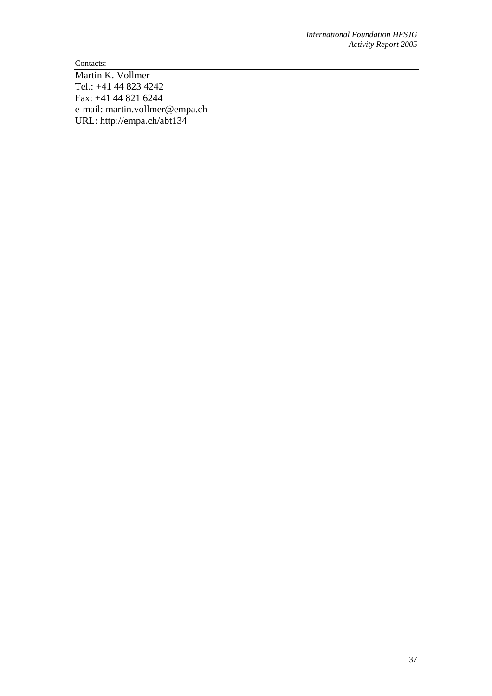Contacts:

Martin K. Vollmer Tel.: +41 44 823 4242 Fax: +41 44 821 6244 e-mail: martin.vollmer@empa.ch URL: http://empa.ch/abt134